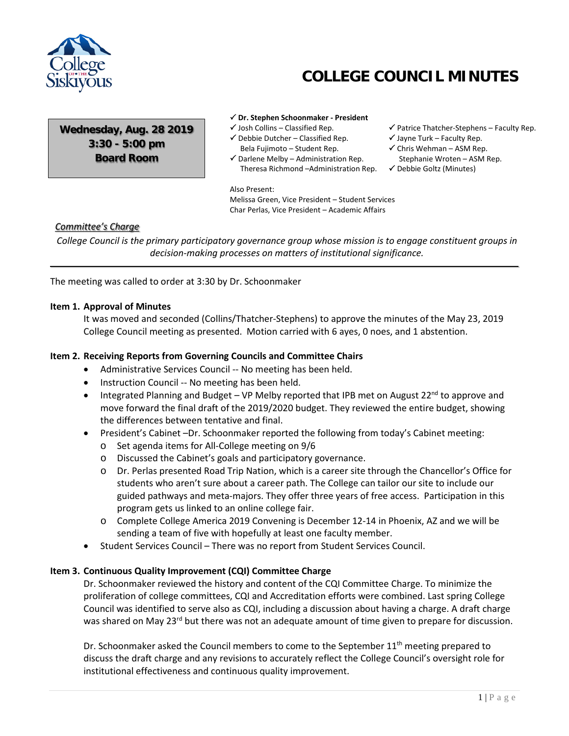

# **COLLEGE COUNCIL MINUTES**

**Wednesday, Aug. 28 2019 3:30 - 5:00 pm Board Room**

#### **Dr. Stephen Schoonmaker - President**

- $\checkmark$  Josh Collins Classified Rep.
- $\checkmark$  Debbie Dutcher Classified Rep. Bela Fujimoto – Student Rep.
- $\checkmark$  Darlene Melby Administration Rep. Theresa Richmond –Administration Rep.

Also Present:

Melissa Green, Vice President – Student Services Char Perlas, Vice President – Academic Affairs

 $\checkmark$  Patrice Thatcher-Stephens – Faculty Rep.

- $\checkmark$  Jayne Turk Faculty Rep.
- $\checkmark$  Chris Wehman ASM Rep. Stephanie Wroten – ASM Rep.
- Debbie Goltz (Minutes)

## *Committee's Charge*

*College Council is the primary participatory governance group whose mission is to engage constituent groups in decision-making processes on matters of institutional significance.*

The meeting was called to order at 3:30 by Dr. Schoonmaker

#### **Item 1. Approval of Minutes**

It was moved and seconded (Collins/Thatcher-Stephens) to approve the minutes of the May 23, 2019 College Council meeting as presented. Motion carried with 6 ayes, 0 noes, and 1 abstention.

#### **Item 2. Receiving Reports from Governing Councils and Committee Chairs**

- Administrative Services Council -- No meeting has been held.
- Instruction Council -- No meeting has been held.
- Integrated Planning and Budget VP Melby reported that IPB met on August 22<sup>nd</sup> to approve and move forward the final draft of the 2019/2020 budget. They reviewed the entire budget, showing the differences between tentative and final.
- President's Cabinet –Dr. Schoonmaker reported the following from today's Cabinet meeting:
	- o Set agenda items for All-College meeting on 9/6
	- o Discussed the Cabinet's goals and participatory governance.
	- o Dr. Perlas presented Road Trip Nation, which is a career site through the Chancellor's Office for students who aren't sure about a career path. The College can tailor our site to include our guided pathways and meta-majors. They offer three years of free access. Participation in this program gets us linked to an online college fair.
	- o Complete College America 2019 Convening is December 12-14 in Phoenix, AZ and we will be sending a team of five with hopefully at least one faculty member.
- Student Services Council There was no report from Student Services Council.

#### **Item 3. Continuous Quality Improvement (CQI) Committee Charge**

Dr. Schoonmaker reviewed the history and content of the CQI Committee Charge. To minimize the proliferation of college committees, CQI and Accreditation efforts were combined. Last spring College Council was identified to serve also as CQI, including a discussion about having a charge. A draft charge was shared on May 23<sup>rd</sup> but there was not an adequate amount of time given to prepare for discussion.

Dr. Schoonmaker asked the Council members to come to the September  $11<sup>th</sup>$  meeting prepared to discuss the draft charge and any revisions to accurately reflect the College Council's oversight role for institutional effectiveness and continuous quality improvement.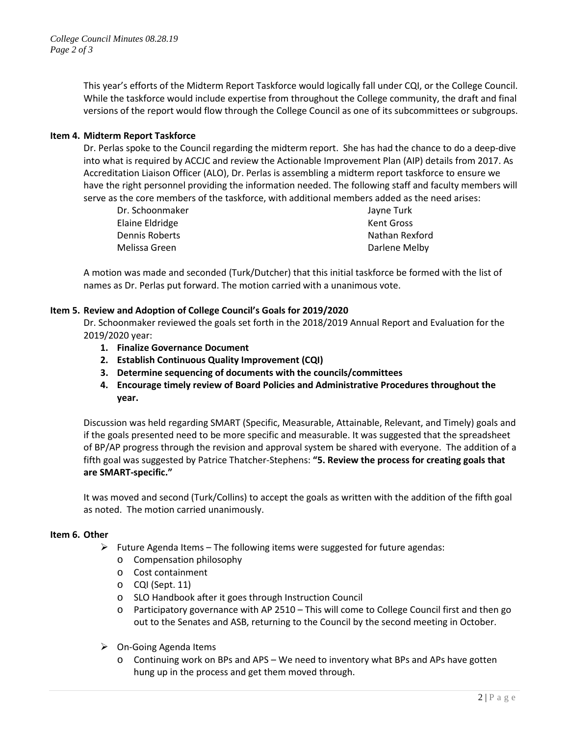This year's efforts of the Midterm Report Taskforce would logically fall under CQI, or the College Council. While the taskforce would include expertise from throughout the College community, the draft and final versions of the report would flow through the College Council as one of its subcommittees or subgroups.

## **Item 4. Midterm Report Taskforce**

Dr. Perlas spoke to the Council regarding the midterm report. She has had the chance to do a deep-dive into what is required by ACCJC and review the Actionable Improvement Plan (AIP) details from 2017. As Accreditation Liaison Officer (ALO), Dr. Perlas is assembling a midterm report taskforce to ensure we have the right personnel providing the information needed. The following staff and faculty members will serve as the core members of the taskforce, with additional members added as the need arises:

| Dr. Schoonmaker | Jayne Turk     |
|-----------------|----------------|
| Elaine Eldridge | Kent Gross     |
| Dennis Roberts  | Nathan Rexford |
| Melissa Green   | Darlene Melby  |
|                 |                |

A motion was made and seconded (Turk/Dutcher) that this initial taskforce be formed with the list of names as Dr. Perlas put forward. The motion carried with a unanimous vote.

## **Item 5. Review and Adoption of College Council's Goals for 2019/2020**

Dr. Schoonmaker reviewed the goals set forth in the 2018/2019 Annual Report and Evaluation for the 2019/2020 year:

- **1. Finalize Governance Document**
- **2. Establish Continuous Quality Improvement (CQI)**
- **3. Determine sequencing of documents with the councils/committees**
- **4. Encourage timely review of Board Policies and Administrative Procedures throughout the year.**

Discussion was held regarding SMART (Specific, Measurable, Attainable, Relevant, and Timely) goals and if the goals presented need to be more specific and measurable. It was suggested that the spreadsheet of BP/AP progress through the revision and approval system be shared with everyone. The addition of a fifth goal was suggested by Patrice Thatcher-Stephens: **"5. Review the process for creating goals that are SMART-specific."**

It was moved and second (Turk/Collins) to accept the goals as written with the addition of the fifth goal as noted. The motion carried unanimously.

#### **Item 6. Other**

- $\triangleright$  Future Agenda Items The following items were suggested for future agendas:
	- o Compensation philosophy
	- o Cost containment
	- o CQI (Sept. 11)
	- o SLO Handbook after it goes through Instruction Council
	- o Participatory governance with AP 2510 This will come to College Council first and then go out to the Senates and ASB, returning to the Council by the second meeting in October.
- $\triangleright$  On-Going Agenda Items
	- o Continuing work on BPs and APS We need to inventory what BPs and APs have gotten hung up in the process and get them moved through.